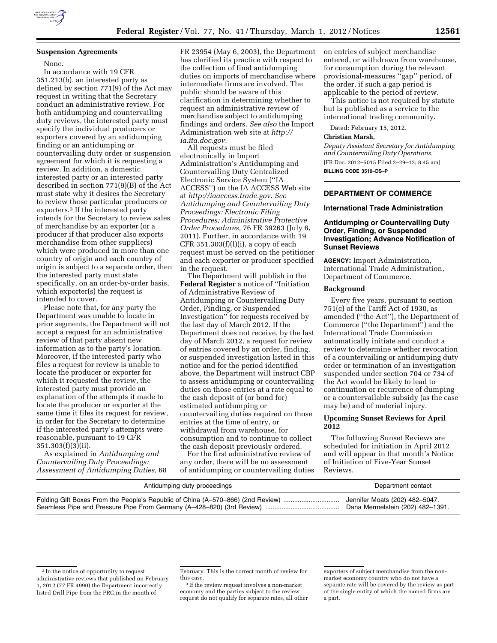

## **Suspension Agreements**

None.

In accordance with 19 CFR 351.213(b), an interested party as defined by section 771(9) of the Act may request in writing that the Secretary conduct an administrative review. For both antidumping and countervailing duty reviews, the interested party must specify the individual producers or exporters covered by an antidumping finding or an antidumping or countervailing duty order or suspension agreement for which it is requesting a review. In addition, a domestic interested party or an interested party described in section 771(9)(B) of the Act must state why it desires the Secretary to review those particular producers or exporters.3 If the interested party intends for the Secretary to review sales of merchandise by an exporter (or a producer if that producer also exports merchandise from other suppliers) which were produced in more than one country of origin and each country of origin is subject to a separate order, then the interested party must state specifically, on an order-by-order basis, which exporter(s) the request is intended to cover.

Please note that, for any party the Department was unable to locate in prior segments, the Department will not accept a request for an administrative review of that party absent new information as to the party's location. Moreover, if the interested party who files a request for review is unable to locate the producer or exporter for which it requested the review, the interested party must provide an explanation of the attempts it made to locate the producer or exporter at the same time it files its request for review, in order for the Secretary to determine if the interested party's attempts were reasonable, pursuant to 19 CFR  $351.303(f)(3)(ii)$ .

As explained in *Antidumping and Countervailing Duty Proceedings: Assessment of Antidumping Duties,* 68

FR 23954 (May 6, 2003), the Department has clarified its practice with respect to the collection of final antidumping duties on imports of merchandise where intermediate firms are involved. The public should be aware of this clarification in determining whether to request an administrative review of merchandise subject to antidumping findings and orders. *See also* the Import Administration web site at *[http://](http://ia.ita.doc.gov)  [ia.ita.doc.gov](http://ia.ita.doc.gov)*.

All requests must be filed electronically in Import Administration's Antidumping and Countervailing Duty Centralized Electronic Service System (''IA ACCESS'') on the IA ACCESS Web site at *<http://iaaccess.trade.gov>*. *See Antidumping and Countervailing Duty Proceedings: Electronic Filing Procedures; Administrative Protective Order Procedures,* 76 FR 39263 (July 6, 2011). Further, in accordance with 19 CFR  $351.303(f)(l)(i)$ , a copy of each request must be served on the petitioner and each exporter or producer specified in the request.

The Department will publish in the **Federal Register** a notice of ''Initiation of Administrative Review of Antidumping or Countervailing Duty Order, Finding, or Suspended Investigation'' for requests received by the last day of March 2012. If the Department does not receive, by the last day of March 2012, a request for review of entries covered by an order, finding, or suspended investigation listed in this notice and for the period identified above, the Department will instruct CBP to assess antidumping or countervailing duties on those entries at a rate equal to the cash deposit of (or bond for) estimated antidumping or countervailing duties required on those entries at the time of entry, or withdrawal from warehouse, for consumption and to continue to collect the cash deposit previously ordered.

For the first administrative review of any order, there will be no assessment of antidumping or countervailing duties on entries of subject merchandise entered, or withdrawn from warehouse, for consumption during the relevant provisional-measures ''gap'' period, of the order, if such a gap period is applicable to the period of review.

This notice is not required by statute but is published as a service to the international trading community.

Dated: February 15, 2012.

#### **Christian Marsh,**

*Deputy Assistant Secretary for Antidumping and Countervailing Duty Operations.*  [FR Doc. 2012–5015 Filed 2–29–12; 8:45 am] **BILLING CODE 3510–DS–P** 

# **DEPARTMENT OF COMMERCE**

#### **International Trade Administration**

# **Antidumping or Countervailing Duty Order, Finding, or Suspended Investigation; Advance Notification of Sunset Reviews**

**AGENCY:** Import Administration, International Trade Administration, Department of Commerce.

# **Background**

Every five years, pursuant to section  $751(c)$  of the Tariff Act of 1930, as amended (''the Act''), the Department of Commerce (''the Department'') and the International Trade Commission automatically initiate and conduct a review to determine whether revocation of a countervailing or antidumping duty order or termination of an investigation suspended under section 704 or 734 of the Act would be likely to lead to continuation or recurrence of dumping or a countervailable subsidy (as the case may be) and of material injury.

### **Upcoming Sunset Reviews for April 2012**

The following Sunset Reviews are scheduled for initiation in April 2012 and will appear in that month's Notice of Initiation of Five-Year Sunset Reviews.

| Antidumping duty proceedings                                                    | Department contact                          |
|---------------------------------------------------------------------------------|---------------------------------------------|
| Folding Gift Boxes From the People's Republic of China (A-570-866) (2nd Review) | <sup>1</sup> Jennifer Moats (202) 482-5047. |
| Seamless Pipe and Pressure Pipe From Germany (A-428-820) (3rd Review).          | Dana Mermelstein (202) 482-1391.            |

3 If the review request involves a non-market economy and the parties subject to the review request do not qualify for separate rates, all other

<sup>2</sup> In the notice of opportunity to request administrative reviews that published on February 1, 2012 (77 FR 4990) the Department incorrectly listed Drill Pipe from the PRC in the month of

February. This is the correct month of review for this case.

exporters of subject merchandise from the nonmarket economy country who do not have a separate rate will be covered by the review as part of the single entity of which the named firms are a part.